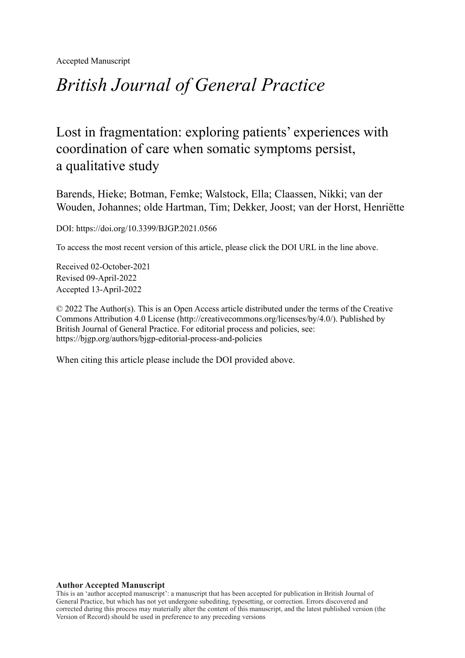Accepted Manuscript

# *British Journal of General Practice*

# Lost in fragmentation: exploring patients' experiences with coordination of care when somatic symptoms persist, a qualitative study

Barends, Hieke; Botman, Femke; Walstock, Ella; Claassen, Nikki; van der Wouden, Johannes; olde Hartman, Tim; Dekker, Joost; van der Horst, Henriëtte

DOI: https://doi.org/10.3399/BJGP.2021.0566

To access the most recent version of this article, please click the DOI URL in the line above.

Received 02-October-2021 Revised 09-April-2022 Accepted 13-April-2022

© 2022 The Author(s). This is an Open Access article distributed under the terms of the Creative Commons Attribution 4.0 License [\(http://creativecommons.org/licenses/by/4.0/](http://creativecommons.org/licenses/by/4.0/)). Published by British Journal of General Practice. For editorial process and policies, see: <https://bjgp.org/authors/bjgp-editorial-process-and-policies>

When citing this article please include the DOI provided above.

#### **Author Accepted Manuscript**

This is an 'author accepted manuscript': a manuscript that has been accepted for publication in British Journal of General Practice, but which has not yet undergone subediting, typesetting, or correction. Errors discovered and corrected during this process may materially alter the content of this manuscript, and the latest published version (the Version of Record) should be used in preference to any preceding versions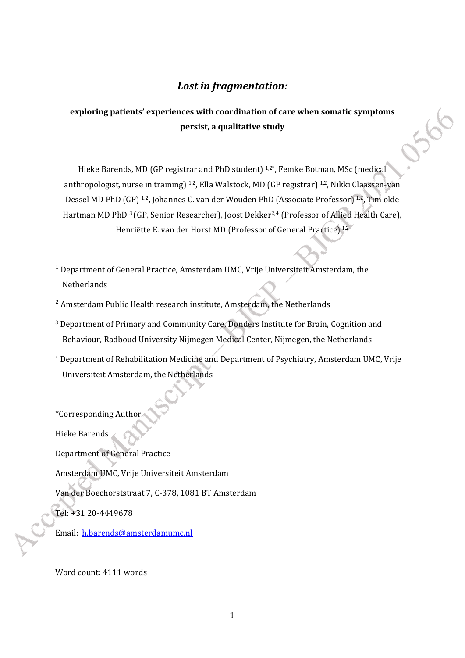# *Lost in fragmentation:*

# **exploring patients' experiences with coordination of care when somatic symptoms persist, a qualitative study**

Hieke Barends, MD (GP registrar and PhD student)<sup>1,2\*</sup>, Femke Botman, MSc (medical anthropologist, nurse in training) <sup>1,2</sup>, Ella Walstock, MD (GP registrar) <sup>1,2</sup>, Nikki Claassen-van Dessel MD PhD (GP) <sup>1,2</sup>, Johannes C. van der Wouden PhD (Associate Professor) <sup>1,2</sup>, Tim olde Hartman MD PhD<sup>3</sup> (GP, Senior Researcher), Joost Dekker<sup>2,4</sup> (Professor of Allied Health Care), Henriëtte E. van der Horst MD (Professor of General Practice) 1,2

- <sup>1</sup> Department of General Practice, Amsterdam UMC, Vrije Universiteit Amsterdam, the Netherlands
- ² Amsterdam Public Health research institute, Amsterdam, the Netherlands
- <sup>3</sup> Department of Primary and Community Care, Donders Institute for Brain, Cognition and Behaviour, Radboud University Nijmegen Medical Center, Nijmegen, the Netherlands
- 4 Department of Rehabilitation Medicine and Department of Psychiatry, Amsterdam UMC, Vrije Universiteit Amsterdam, the Netherlands

\*Corresponding Author

Hieke Barends

Department of General Practice

Amsterdam UMC, Vrije Universiteit Amsterdam

Van der Boechorststraat 7, C-378, 1081 BT Amsterdam

Tel: +31 20-4449678

Email: [h.barends@amsterdamumc.nl](mailto:h.barends@vumc.nl)

Word count: 4111 words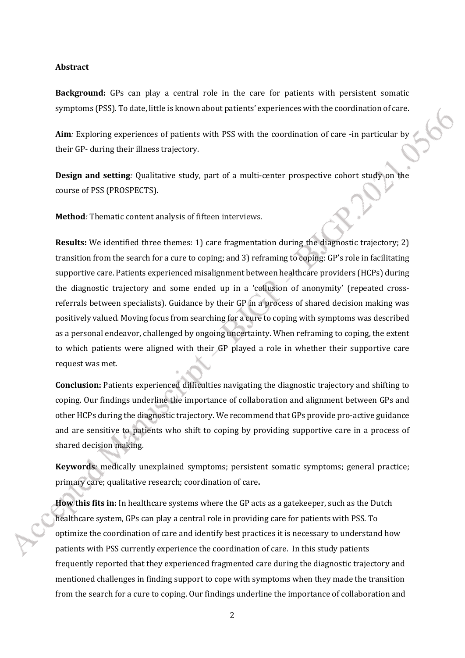#### **Abstract**

**Background:** GPs can play a central role in the care for patients with persistent somatic symptoms (PSS). To date, little is known about patients' experiences with the coordination of care.

**Aim***:* Exploring experiences of patients with PSS with the coordination of care -in particular by their GP- during their illness trajectory.

**Design and setting***:* Qualitative study, part of a multi-center prospective cohort study on the course of PSS (PROSPECTS).

**Method***:* Thematic content analysis of fifteen interviews.

**Results:** We identified three themes: 1) care fragmentation during the diagnostic trajectory; 2) transition from the search for a cure to coping; and 3) reframing to coping: GP's role in facilitating supportive care. Patients experienced misalignment between healthcare providers (HCPs) during the diagnostic trajectory and some ended up in a 'collusion of anonymity' (repeated crossreferrals between specialists). Guidance by their GP in a process of shared decision making was positively valued. Moving focus from searching for a cure to coping with symptoms was described as a personal endeavor, challenged by ongoing uncertainty. When reframing to coping, the extent to which patients were aligned with their GP played a role in whether their supportive care request was met.

**Conclusion:** Patients experienced difficulties navigating the diagnostic trajectory and shifting to coping. Our findings underline the importance of collaboration and alignment between GPs and other HCPs during the diagnostic trajectory. We recommend that GPs provide pro-active guidance and are sensitive to patients who shift to coping by providing supportive care in a process of shared decision making.

**Keywords***:* medically unexplained symptoms; persistent somatic symptoms; general practice; primary care; qualitative research; coordination of care**.**

**How this fits in:** In healthcare systems where the GP acts as a gatekeeper, such as the Dutch healthcare system, GPs can play a central role in providing care for patients with PSS. To optimize the coordination of care and identify best practices it is necessary to understand how patients with PSS currently experience the coordination of care. In this study patients frequently reported that they experienced fragmented care during the diagnostic trajectory and mentioned challenges in finding support to cope with symptoms when they made the transition from the search for a cure to coping. Our findings underline the importance of collaboration and

2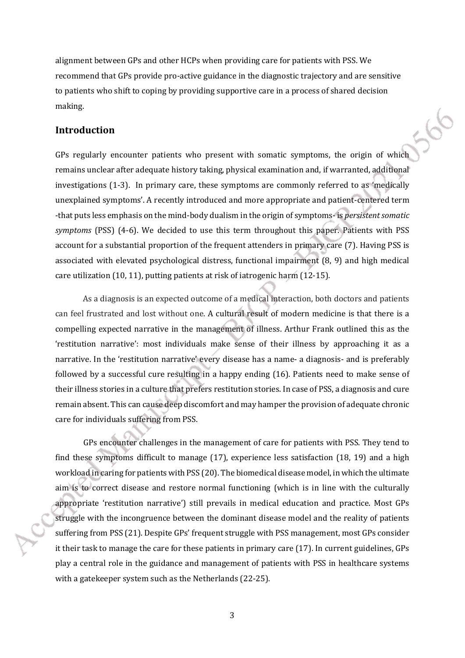alignment between GPs and other HCPs when providing care for patients with PSS. We recommend that GPs provide pro-active guidance in the diagnostic trajectory and are sensitive to patients who shift to coping by providing supportive care in a process of shared decision making.

#### **Introduction**

GPs regularly encounter patients who present with somatic symptoms, the origin of which remains unclear after adequate history taking, physical examination and, if warranted, additional investigations (1-3). In primary care, these symptoms are commonly referred to as 'medically unexplained symptoms'. A recently introduced and more appropriate and patient-centered term -that puts less emphasis on the mind-body dualism in the origin of symptoms- is *persistent somatic symptoms* (PSS) (4-6). We decided to use this term throughout this paper. Patients with PSS account for a substantial proportion of the frequent attenders in primary care (7). Having PSS is associated with elevated psychological distress, functional impairment (8, 9) and high medical care utilization (10, 11), putting patients at risk of iatrogenic harm (12-15).

As a diagnosis is an expected outcome of a medical interaction, both doctors and patients can feel frustrated and lost without one. A cultural result of modern medicine is that there is a compelling expected narrative in the management of illness. Arthur Frank outlined this as the 'restitution narrative': most individuals make sense of their illness by approaching it as a narrative. In the 'restitution narrative' every disease has a name- a diagnosis- and is preferably followed by a successful cure resulting in a happy ending (16). Patients need to make sense of their illness stories in a culture that prefers restitution stories. In case of PSS, a diagnosis and cure remain absent. This can cause deep discomfort and may hamper the provision of adequate chronic care for individuals suffering from PSS.

GPs encounter challenges in the management of care for patients with PSS. They tend to find these symptoms difficult to manage (17), experience less satisfaction (18, 19) and a high workload in caring for patients with PSS (20). The biomedical disease model, in which the ultimate aim is to correct disease and restore normal functioning (which is in line with the culturally appropriate 'restitution narrative') still prevails in medical education and practice. Most GPs struggle with the incongruence between the dominant disease model and the reality of patients suffering from PSS (21). Despite GPs' frequent struggle with PSS management, most GPs consider it their task to manage the care for these patients in primary care (17). In current guidelines, GPs play a central role in the guidance and management of patients with PSS in healthcare systems with a gatekeeper system such as the Netherlands (22-25).

3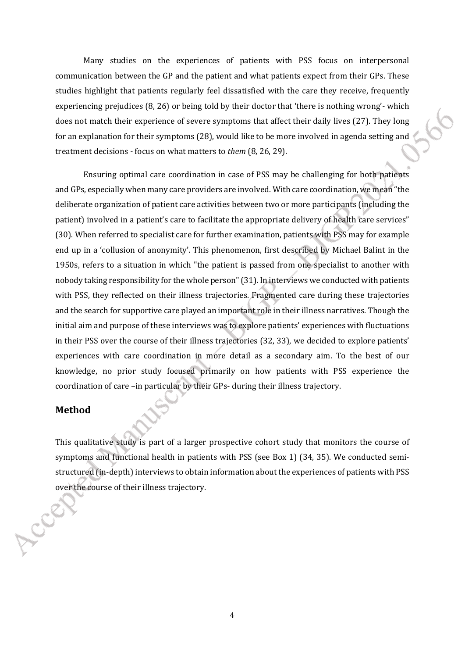Many studies on the experiences of patients with PSS focus on interpersonal communication between the GP and the patient and what patients expect from their GPs. These studies highlight that patients regularly feel dissatisfied with the care they receive, frequently experiencing prejudices (8, 26) or being told by their doctor that 'there is nothing wrong'- which does not match their experience of severe symptoms that affect their daily lives (27). They long for an explanation for their symptoms (28), would like to be more involved in agenda setting and treatment decisions - focus on what matters to *them* (8, 26, 29).

Ensuring optimal care coordination in case of PSS may be challenging for both patients and GPs, especially when many care providers are involved. With care coordination, we mean "the deliberate organization of patient care activities between two or more participants (including the patient) involved in a patient's care to facilitate the appropriate delivery of health care services" (30). When referred to specialist care for further examination, patients with PSS may for example end up in a 'collusion of anonymity'. This phenomenon, first described by Michael Balint in the 1950s, refers to a situation in which "the patient is passed from one specialist to another with nobody taking responsibility for the whole person" (31). In interviews we conducted with patients with PSS, they reflected on their illness trajectories. Fragmented care during these trajectories and the search for supportive care played an important role in their illness narratives. Though the initial aim and purpose of these interviews was to explore patients' experiences with fluctuations in their PSS over the course of their illness trajectories (32, 33), we decided to explore patients' experiences with care coordination in more detail as a secondary aim. To the best of our knowledge, no prior study focused primarily on how patients with PSS experience the coordination of care –in particular by their GPs- during their illness trajectory.

#### **Method**

This qualitative study is part of a larger prospective cohort study that monitors the course of symptoms and functional health in patients with PSS (see Box 1) (34, 35). We conducted semistructured (in-depth) interviews to obtain information about the experiences of patients with PSS over the course of their illness trajectory.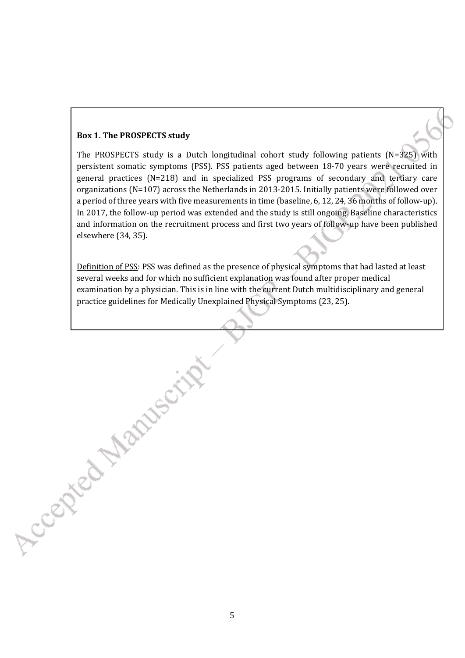#### **Box 1. The PROSPECTS study**

Accepted Martisch

The PROSPECTS study is a Dutch longitudinal cohort study following patients (N=325) with persistent somatic symptoms (PSS). PSS patients aged between 18-70 years were recruited in general practices (N=218) and in specialized PSS programs of secondary and tertiary care organizations (N=107) across the Netherlands in 2013-2015. Initially patients were followed over a period of three years with five measurements in time (baseline, 6, 12, 24, 36 months of follow-up). In 2017, the follow-up period was extended and the study is still ongoing. Baseline characteristics and information on the recruitment process and first two years of follow-up have been published elsewhere (34, 35).

Definition of PSS: PSS was defined as the presence of physical symptoms that had lasted at least several weeks and for which no sufficient explanation was found after proper medical examination by a physician. This is in line with the current Dutch multidisciplinary and general practice guidelines for Medically Unexplained Physical Symptoms (23, 25).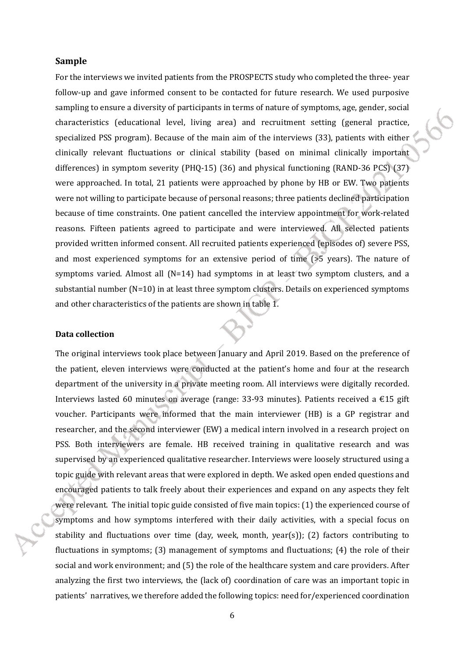#### **Sample**

For the interviews we invited patients from the PROSPECTS study who completed the three- year follow-up and gave informed consent to be contacted for future research. We used purposive sampling to ensure a diversity of participants in terms of nature of symptoms, age, gender, social characteristics (educational level, living area) and recruitment setting (general practice, specialized PSS program). Because of the main aim of the interviews (33), patients with either clinically relevant fluctuations or clinical stability (based on minimal clinically important differences) in symptom severity (PHQ-15) (36) and physical functioning (RAND-36 PCS) (37) were approached. In total, 21 patients were approached by phone by HB or EW. Two patients were not willing to participate because of personal reasons; three patients declined participation because of time constraints. One patient cancelled the interview appointment for work-related reasons. Fifteen patients agreed to participate and were interviewed. All selected patients provided written informed consent. All recruited patients experienced (episodes of) severe PSS, and most experienced symptoms for an extensive period of time ( $>5$  years). The nature of symptoms varied. Almost all  $(N=14)$  had symptoms in at least two symptom clusters, and a substantial number (N=10) in at least three symptom clusters. Details on experienced symptoms and other characteristics of the patients are shown in table 1.

#### **Data collection**

The original interviews took place between January and April 2019. Based on the preference of the patient, eleven interviews were conducted at the patient's home and four at the research department of the university in a private meeting room. All interviews were digitally recorded. Interviews lasted 60 minutes on average (range: 33-93 minutes). Patients received a €15 gift voucher. Participants were informed that the main interviewer (HB) is a GP registrar and researcher, and the second interviewer (EW) a medical intern involved in a research project on PSS. Both interviewers are female. HB received training in qualitative research and was supervised by an experienced qualitative researcher. Interviews were loosely structured using a topic guide with relevant areas that were explored in depth. We asked open ended questions and encouraged patients to talk freely about their experiences and expand on any aspects they felt were relevant. The initial topic guide consisted of five main topics: (1) the experienced course of symptoms and how symptoms interfered with their daily activities, with a special focus on stability and fluctuations over time (day, week, month,  $\text{year}(s)$ ); (2) factors contributing to fluctuations in symptoms; (3) management of symptoms and fluctuations; (4) the role of their social and work environment; and (5) the role of the healthcare system and care providers. After analyzing the first two interviews, the (lack of) coordination of care was an important topic in patients' narratives, we therefore added the following topics: need for/experienced coordination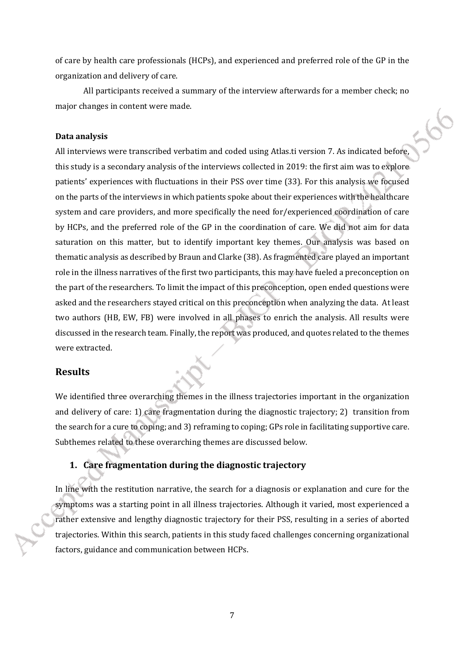of care by health care professionals (HCPs), and experienced and preferred role of the GP in the organization and delivery of care.

All participants received a summary of the interview afterwards for a member check; no major changes in content were made.

#### **Data analysis**

All interviews were transcribed verbatim and coded using Atlas.ti version 7. As indicated before, this study is a secondary analysis of the interviews collected in 2019: the first aim was to explore patients' experiences with fluctuations in their PSS over time (33). For this analysis we focused on the parts of the interviews in which patients spoke about their experiences with the healthcare system and care providers, and more specifically the need for/experienced coordination of care by HCPs, and the preferred role of the GP in the coordination of care. We did not aim for data saturation on this matter, but to identify important key themes. Our analysis was based on thematic analysis as described by Braun and Clarke (38). As fragmented care played an important role in the illness narratives of the first two participants, this may have fueled a preconception on the part of the researchers. To limit the impact of this preconception, open ended questions were asked and the researchers stayed critical on this preconception when analyzing the data. At least two authors (HB, EW, FB) were involved in all phases to enrich the analysis. All results were discussed in the research team. Finally, the report was produced, and quotes related to the themes were extracted.

#### **Results**

We identified three overarching themes in the illness trajectories important in the organization and delivery of care: 1) care fragmentation during the diagnostic trajectory; 2) transition from the search for a cure to coping; and 3) reframing to coping; GPs role in facilitating supportive care. Subthemes related to these overarching themes are discussed below.

### **1. Care fragmentation during the diagnostic trajectory**

In line with the restitution narrative, the search for a diagnosis or explanation and cure for the symptoms was a starting point in all illness trajectories. Although it varied, most experienced a rather extensive and lengthy diagnostic trajectory for their PSS, resulting in a series of aborted trajectories. Within this search, patients in this study faced challenges concerning organizational factors, guidance and communication between HCPs.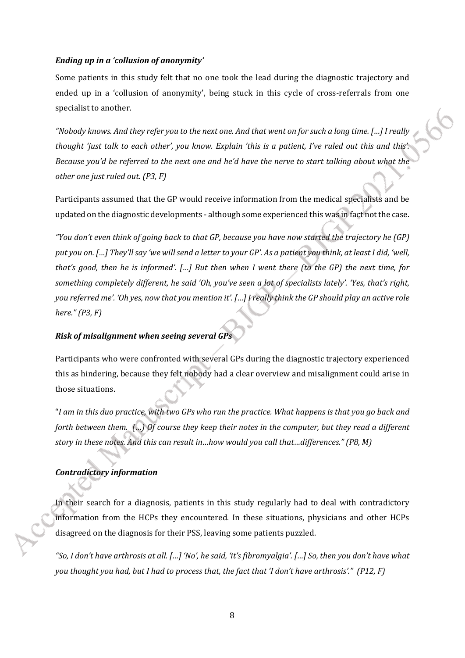#### *Ending up in a 'collusion of anonymity'*

Some patients in this study felt that no one took the lead during the diagnostic trajectory and ended up in a 'collusion of anonymity', being stuck in this cycle of cross-referrals from one specialist to another.

*"Nobody knows. And they refer you to the next one. And that went on for such a long time. […] I really thought 'just talk to each other', you know. Explain 'this is a patient, I've ruled out this and this'. Because you'd be referred to the next one and he'd have the nerve to start talking about what the other one just ruled out. (P3, F)*

Participants assumed that the GP would receive information from the medical specialists and be updated on the diagnostic developments - although some experienced this was in fact not the case.

*"You don't even think of going back to that GP, because you have now started the trajectory he (GP) put you on. […] They'll say 'we will send a letter to your GP'. As a patient you think, at least I did, 'well, that's good, then he is informed'. […] But then when I went there (to the GP) the next time, for something completely different, he said 'Oh, you've seen a lot of specialists lately'. 'Yes, that's right, you referred me'. 'Oh yes, now that you mention it'. […] I really think the GP should play an active role here." (P3, F)*

#### **Risk of misalignment when seeing several GP**

Participants who were confronted with several GPs during the diagnostic trajectory experienced this as hindering, because they felt nobody had a clear overview and misalignment could arise in those situations.

"*I am in this duo practice, with two GPs who run the practice. What happens is that you go back and forth between them. (…) Of course they keep their notes in the computer, but they read a different story in these notes. And this can result in…how would you call that…differences." (P8, M)*

#### *Contradictory information*

In their search for a diagnosis, patients in this study regularly had to deal with contradictory information from the HCPs they encountered. In these situations, physicians and other HCPs disagreed on the diagnosis for their PSS, leaving some patients puzzled.

*"So, I don't have arthrosis at all. […] 'No', he said, 'it's fibromyalgia'. […] So, then you don't have what you thought you had, but I had to process that, the fact that 'I don't have arthrosis'." (P12, F)*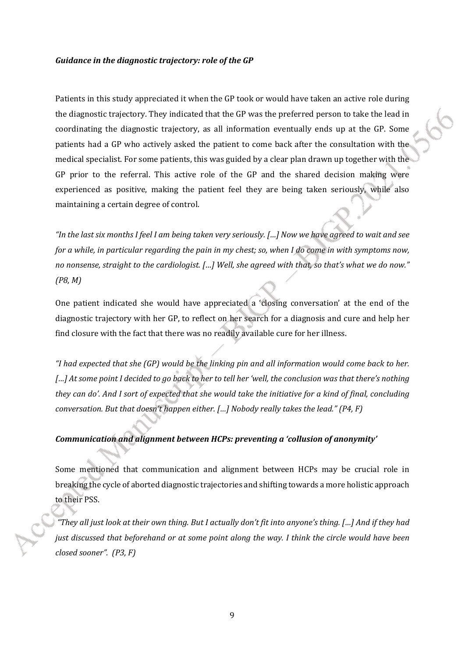#### *Guidance in the diagnostic trajectory: role of the GP*

Patients in this study appreciated it when the GP took or would have taken an active role during the diagnostic trajectory. They indicated that the GP was the preferred person to take the lead in coordinating the diagnostic trajectory, as all information eventually ends up at the GP. Some patients had a GP who actively asked the patient to come back after the consultation with the medical specialist. For some patients, this was guided by a clear plan drawn up together with the GP prior to the referral. This active role of the GP and the shared decision making were experienced as positive, making the patient feel they are being taken seriously, while also maintaining a certain degree of control.

*"In the last six months I feel I am being taken very seriously. […] Now we have agreed to wait and see for a while, in particular regarding the pain in my chest; so, when I do come in with symptoms now, no nonsense, straight to the cardiologist. […] Well, she agreed with that, so that's what we do now." (P8, M)*

One patient indicated she would have appreciated a 'closing conversation' at the end of the diagnostic trajectory with her GP, to reflect on her search for a diagnosis and cure and help her find closure with the fact that there was no readily available cure for her illness.

*"I had expected that she (GP) would be the linking pin and all information would come back to her. […] At some point I decided to go back to her to tell her 'well, the conclusion was that there's nothing they can do'. And I sort of expected that she would take the initiative for a kind of final, concluding conversation. But that doesn't happen either. […] Nobody really takes the lead." (P4, F)* 

#### *Communication and alignment between HCPs: preventing a 'collusion of anonymity'*

Some mentioned that communication and alignment between HCPs may be crucial role in breaking the cycle of aborted diagnostic trajectories and shifting towards a more holistic approach to their PSS.

 *"They all just look at their own thing. But I actually don't fit into anyone's thing. […] And if they had just discussed that beforehand or at some point along the way. I think the circle would have been closed sooner". (P3, F)*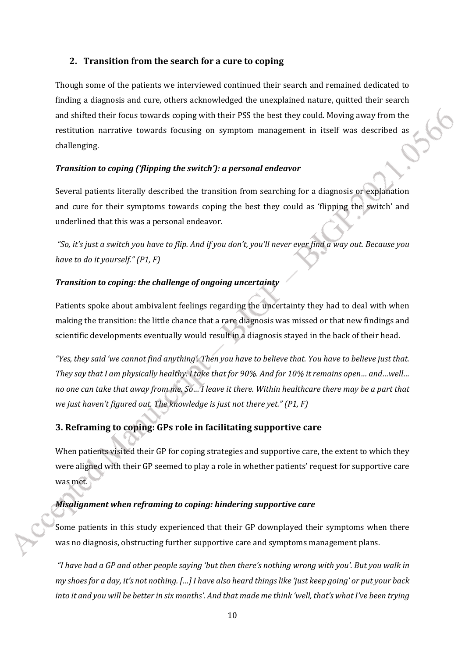#### **2. Transition from the search for a cure to coping**

Though some of the patients we interviewed continued their search and remained dedicated to finding a diagnosis and cure, others acknowledged the unexplained nature, quitted their search and shifted their focus towards coping with their PSS the best they could. Moving away from the restitution narrative towards focusing on symptom management in itself was described as challenging.

#### *Transition to coping ('flipping the switch'): a personal endeavor*

Several patients literally described the transition from searching for a diagnosis or explanation and cure for their symptoms towards coping the best they could as 'flipping the switch' and underlined that this was a personal endeavor.

 *"So, it's just a switch you have to flip. And if you don't, you'll never ever find a way out. Because you have to do it yourself." (P1, F)* 

#### *Transition to coping: the challenge of ongoing uncertainty*

Patients spoke about ambivalent feelings regarding the uncertainty they had to deal with when making the transition: the little chance that a rare diagnosis was missed or that new findings and scientific developments eventually would result in a diagnosis stayed in the back of their head.

*"Yes, they said 'we cannot find anything'. Then you have to believe that. You have to believe just that. They say that I am physically healthy. I take that for 90%. And for 10% it remains open… and…well… no one can take that away from me. So… I leave it there. Within healthcare there may be a part that we just haven't figured out. The knowledge is just not there yet." (P1, F)* 

# **3. Reframing to coping: GPs role in facilitating supportive care**

When patients visited their GP for coping strategies and supportive care, the extent to which they were aligned with their GP seemed to play a role in whether patients' request for supportive care was met.

#### *Misalignment when reframing to coping: hindering supportive care*

Some patients in this study experienced that their GP downplayed their symptoms when there was no diagnosis, obstructing further supportive care and symptoms management plans.

 *"I have had a GP and other people saying 'but then there's nothing wrong with you'. But you walk in my shoes for a day, it's not nothing. […] I have also heard things like 'just keep going' or put your back into it and you will be better in six months'. And that made me think 'well, that's what I've been trying*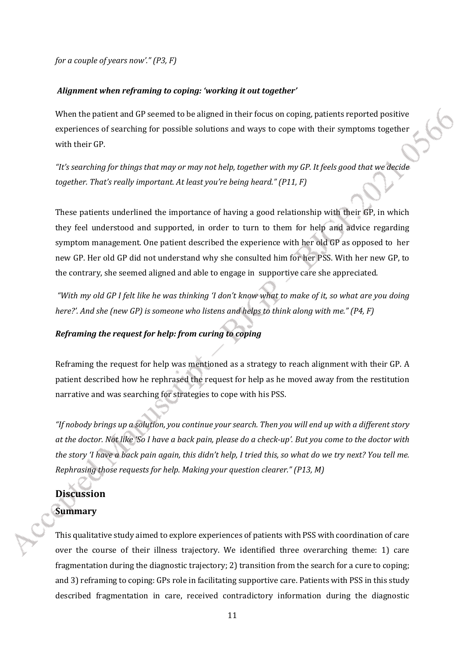*for a couple of years now'." (P3, F)*

#### *Alignment when reframing to coping: 'working it out together'*

When the patient and GP seemed to be aligned in their focus on coping, patients reported positive experiences of searching for possible solutions and ways to cope with their symptoms together with their GP.

*"It's searching for things that may or may not help, together with my GP. It feels good that we decide together. That's really important. At least you're being heard." (P11, F)* 

These patients underlined the importance of having a good relationship with their GP, in which they feel understood and supported, in order to turn to them for help and advice regarding symptom management. One patient described the experience with her old GP as opposed to her new GP. Her old GP did not understand why she consulted him for her PSS. With her new GP, to the contrary, she seemed aligned and able to engage in supportive care she appreciated.

*"With my old GP I felt like he was thinking 'I don't know what to make of it, so what are you doing here?'. And she (new GP) is someone who listens and helps to think along with me." (P4, F)*

#### *Reframing the request for help: from curing to coping*

Reframing the request for help was mentioned as a strategy to reach alignment with their GP. A patient described how he rephrased the request for help as he moved away from the restitution narrative and was searching for strategies to cope with his PSS.

*"If nobody brings up a solution, you continue your search. Then you will end up with a different story at the doctor. Not like 'So I have a back pain, please do a check-up'. But you come to the doctor with the story 'I have a back pain again, this didn't help, I tried this, so what do we try next? You tell me. Rephrasing those requests for help. Making your question clearer." (P13, M)*

# **Discussion Summary**

This qualitative study aimed to explore experiences of patients with PSS with coordination of care over the course of their illness trajectory. We identified three overarching theme: 1) care fragmentation during the diagnostic trajectory; 2) transition from the search for a cure to coping; and 3) reframing to coping: GPs role in facilitating supportive care. Patients with PSS in this study described fragmentation in care, received contradictory information during the diagnostic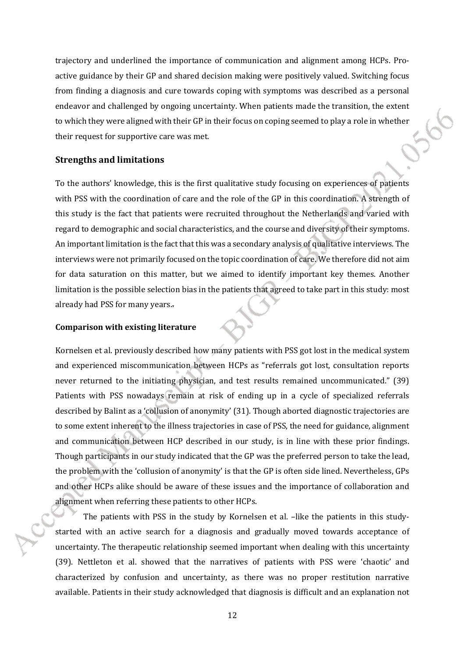trajectory and underlined the importance of communication and alignment among HCPs. Proactive guidance by their GP and shared decision making were positively valued. Switching focus from finding a diagnosis and cure towards coping with symptoms was described as a personal endeavor and challenged by ongoing uncertainty. When patients made the transition, the extent to which they were aligned with their GP in their focus on coping seemed to play a role in whether their request for supportive care was met.

#### **Strengths and limitations**

To the authors' knowledge, this is the first qualitative study focusing on experiences of patients with PSS with the coordination of care and the role of the GP in this coordination. A strength of this study is the fact that patients were recruited throughout the Netherlands and varied with regard to demographic and social characteristics, and the course and diversity of their symptoms. An important limitation is the fact that this was a secondary analysis of qualitative interviews. The interviews were not primarily focused on the topic coordination of care. We therefore did not aim for data saturation on this matter, but we aimed to identify important key themes. Another limitation is the possible selection bias in the patients that agreed to take part in this study: most already had PSS for many years..

#### **Comparison with existing literature**

Kornelsen et al. previously described how many patients with PSS got lost in the medical system and experienced miscommunication between HCPs as "referrals got lost, consultation reports never returned to the initiating physician, and test results remained uncommunicated." (39) Patients with PSS nowadays remain at risk of ending up in a cycle of specialized referrals described by Balint as a 'collusion of anonymity' (31). Though aborted diagnostic trajectories are to some extent inherent to the illness trajectories in case of PSS, the need for guidance, alignment and communication between HCP described in our study, is in line with these prior findings. Though participants in our study indicated that the GP was the preferred person to take the lead, the problem with the 'collusion of anonymity' is that the GP is often side lined. Nevertheless, GPs and other HCPs alike should be aware of these issues and the importance of collaboration and alignment when referring these patients to other HCPs.

The patients with PSS in the study by Kornelsen et al. -like the patients in this studystarted with an active search for a diagnosis and gradually moved towards acceptance of uncertainty. The therapeutic relationship seemed important when dealing with this uncertainty (39). Nettleton et al. showed that the narratives of patients with PSS were 'chaotic' and characterized by confusion and uncertainty, as there was no proper restitution narrative available. Patients in their study acknowledged that diagnosis is difficult and an explanation not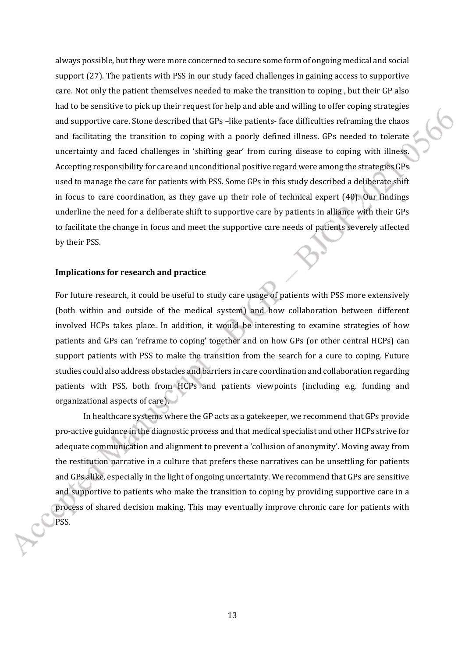always possible, but they were more concerned to secure some form of ongoing medical and social support (27). The patients with PSS in our study faced challenges in gaining access to supportive care. Not only the patient themselves needed to make the transition to coping , but their GP also had to be sensitive to pick up their request for help and able and willing to offer coping strategies and supportive care. Stone described that GPs –like patients- face difficulties reframing the chaos and facilitating the transition to coping with a poorly defined illness. GPs needed to tolerate uncertainty and faced challenges in 'shifting gear' from curing disease to coping with illness. Accepting responsibility for care and unconditional positive regard were among the strategies GPs used to manage the care for patients with PSS. Some GPs in this study described a deliberate shift in focus to care coordination, as they gave up their role of technical expert (40). Our findings underline the need for a deliberate shift to supportive care by patients in alliance with their GPs to facilitate the change in focus and meet the supportive care needs of patients severely affected by their PSS.

#### **Implications for research and practice**

For future research, it could be useful to study care usage of patients with PSS more extensively (both within and outside of the medical system) and how collaboration between different involved HCPs takes place. In addition, it would be interesting to examine strategies of how patients and GPs can 'reframe to coping' together and on how GPs (or other central HCPs) can support patients with PSS to make the transition from the search for a cure to coping. Future studies could also address obstacles and barriers in care coordination and collaboration regarding patients with PSS, both from HCPs and patients viewpoints (including e.g. funding and organizational aspects of care).

In healthcare systems where the GP acts as a gatekeeper, we recommend that GPs provide pro-active guidance in the diagnostic process and that medical specialist and other HCPs strive for adequate communication and alignment to prevent a 'collusion of anonymity'. Moving away from the restitution narrative in a culture that prefers these narratives can be unsettling for patients and GPs alike, especially in the light of ongoing uncertainty. We recommend that GPs are sensitive and supportive to patients who make the transition to coping by providing supportive care in a process of shared decision making. This may eventually improve chronic care for patients with PSS.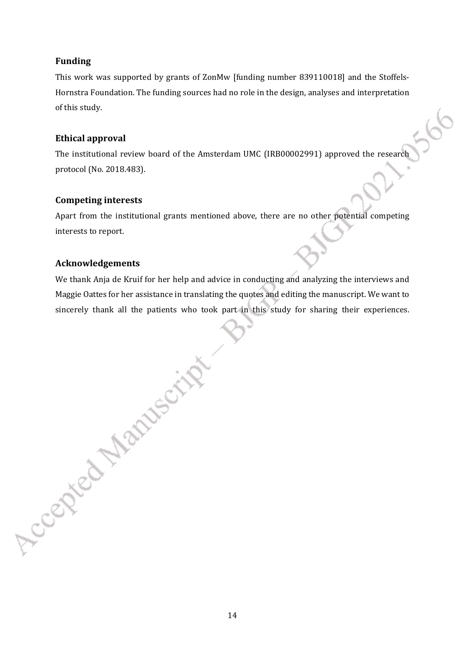# **Funding**

This work was supported by grants of ZonMw [funding number 839110018] and the Stoffels-Hornstra Foundation. The funding sources had no role in the design, analyses and interpretation of this study.

# **Ethical approval**

The institutional review board of the Amsterdam UMC (IRB00002991) approved the research protocol (No. 2018.483).

# **Competing interests**

Apart from the institutional grants mentioned above, there are no other potential competing interests to report.

# **Acknowledgements**

Accepted Manuscript

We thank Anja de Kruif for her help and advice in conducting and analyzing the interviews and Maggie Oattes for her assistance in translating the quotes and editing the manuscript. We want to sincerely thank all the patients who took part in this study for sharing their experiences.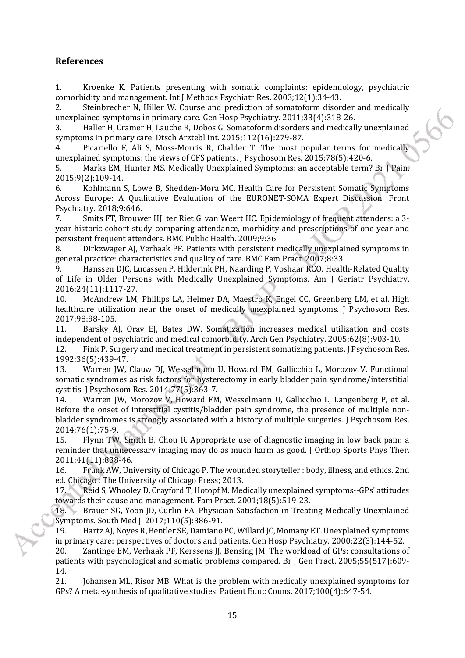# **References**

1. Kroenke K. Patients presenting with somatic complaints: epidemiology, psychiatric comorbidity and management. Int J Methods Psychiatr Res. 2003;12(1):34-43.

2. Steinbrecher N, Hiller W. Course and prediction of somatoform disorder and medically unexplained symptoms in primary care. Gen Hosp Psychiatry. 2011;33(4):318-26.

3. Haller H, Cramer H, Lauche R, Dobos G. Somatoform disorders and medically unexplained symptoms in primary care. Dtsch Arztebl Int. 2015;112(16):279-87.

4. Picariello F, Ali S, Moss-Morris R, Chalder T. The most popular terms for medically unexplained symptoms: the views of CFS patients. J Psychosom Res. 2015;78(5):420-6.

5. Marks EM, Hunter MS. Medically Unexplained Symptoms: an acceptable term? Br J Pain. 2015;9(2):109-14.

6. Kohlmann S, Lowe B, Shedden-Mora MC. Health Care for Persistent Somatic Symptoms Across Europe: A Qualitative Evaluation of the EURONET-SOMA Expert Discussion. Front Psychiatry. 2018;9:646.

7. Smits FT, Brouwer HJ, ter Riet G, van Weert HC. Epidemiology of frequent attenders: a 3 year historic cohort study comparing attendance, morbidity and prescriptions of one-year and persistent frequent attenders. BMC Public Health. 2009;9:36.

8. Dirkzwager AJ, Verhaak PF. Patients with persistent medically unexplained symptoms in general practice: characteristics and quality of care. BMC Fam Pract. 2007;8:33.

9. Hanssen DJC, Lucassen P, Hilderink PH, Naarding P, Voshaar RCO. Health-Related Quality of Life in Older Persons with Medically Unexplained Symptoms. Am J Geriatr Psychiatry. 2016;24(11):1117-27.

10. McAndrew LM, Phillips LA, Helmer DA, Maestro K, Engel CC, Greenberg LM, et al. High healthcare utilization near the onset of medically unexplained symptoms. J Psychosom Res. 2017;98:98-105.

11. Barsky AJ, Orav EJ, Bates DW. Somatization increases medical utilization and costs independent of psychiatric and medical comorbidity. Arch Gen Psychiatry. 2005;62(8):903-10.

12. Fink P. Surgery and medical treatment in persistent somatizing patients. J Psychosom Res. 1992;36(5):439-47.

13. Warren JW, Clauw DJ, Wesselmann U, Howard FM, Gallicchio L, Morozov V. Functional somatic syndromes as risk factors for hysterectomy in early bladder pain syndrome/interstitial cystitis. J Psychosom Res. 2014;77(5):363-7.

14. Warren JW, Morozov V, Howard FM, Wesselmann U, Gallicchio L, Langenberg P, et al. Before the onset of interstitial cystitis/bladder pain syndrome, the presence of multiple nonbladder syndromes is strongly associated with a history of multiple surgeries. J Psychosom Res. 2014;76(1):75-9.

15. Flynn TW, Smith B, Chou R. Appropriate use of diagnostic imaging in low back pain: a reminder that unnecessary imaging may do as much harm as good. J Orthop Sports Phys Ther. 2011;41(11):838-46.

16. Frank AW, University of Chicago P. The wounded storyteller : body, illness, and ethics. 2nd ed. Chicago : The University of Chicago Press; 2013.

17. Reid S, Whooley D, Crayford T, Hotopf M. Medically unexplained symptoms--GPs' attitudes towards their cause and management. Fam Pract. 2001;18(5):519-23.

18. Brauer SG, Yoon JD, Curlin FA. Physician Satisfaction in Treating Medically Unexplained Symptoms. South Med J. 2017;110(5):386-91.

19. Hartz AJ, Noyes R, Bentler SE, Damiano PC, Willard JC, Momany ET. Unexplained symptoms in primary care: perspectives of doctors and patients. Gen Hosp Psychiatry. 2000;22(3):144-52.

20. Zantinge EM, Verhaak PF, Kerssens JJ, Bensing JM. The workload of GPs: consultations of patients with psychological and somatic problems compared. Br J Gen Pract. 2005;55(517):609- 14.

21. Johansen ML, Risor MB. What is the problem with medically unexplained symptoms for GPs? A meta-synthesis of qualitative studies. Patient Educ Couns. 2017;100(4):647-54.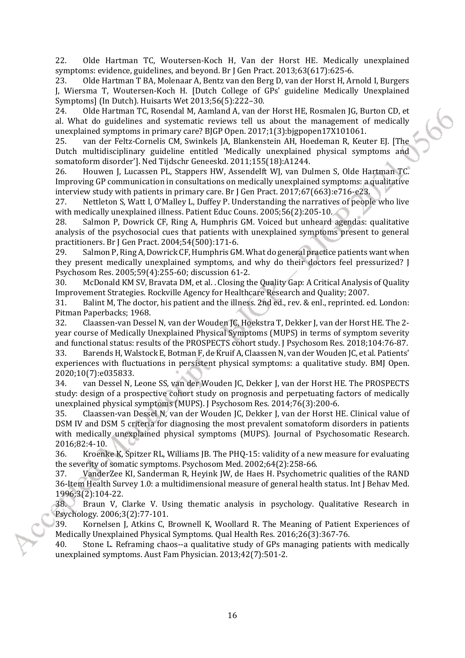22. Olde Hartman TC, Woutersen-Koch H, Van der Horst HE. Medically unexplained symptoms: evidence, guidelines, and beyond. Br J Gen Pract. 2013;63(617):625-6.

23. Olde Hartman T BA, Molenaar A, Bentz van den Berg D, van der Horst H, Arnold I, Burgers J, Wiersma T, Woutersen-Koch H. [Dutch College of GPs' guideline Medically Unexplained Symptoms] (In Dutch). Huisarts Wet 2013;56(5):222–30.

24. Olde Hartman TC, Rosendal M, Aamland A, van der Horst HE, Rosmalen JG, Burton CD, et al. What do guidelines and systematic reviews tell us about the management of medically unexplained symptoms in primary care? BJGP Open. 2017;1(3):bjgpopen17X101061.

25. van der Feltz-Cornelis CM, Swinkels JA, Blankenstein AH, Hoedeman R, Keuter EJ. [The Dutch multidisciplinary guideline entitled 'Medically unexplained physical symptoms and somatoform disorder']. Ned Tijdschr Geneeskd. 2011;155(18):A1244.

26. Houwen J, Lucassen PL, Stappers HW, Assendelft WJ, van Dulmen S, Olde Hartman TC. Improving GP communication in consultations on medically unexplained symptoms: a qualitative interview study with patients in primary care. Br J Gen Pract. 2017;67(663):e716-e23.

27. Nettleton S, Watt I, O'Malley L, Duffey P. Understanding the narratives of people who live with medically unexplained illness. Patient Educ Couns. 2005;56(2):205-10.

28. Salmon P, Dowrick CF, Ring A, Humphris GM. Voiced but unheard agendas: qualitative analysis of the psychosocial cues that patients with unexplained symptoms present to general practitioners. Br J Gen Pract. 2004;54(500):171-6.

29. Salmon P, Ring A, Dowrick CF, Humphris GM. What do general practice patients want when they present medically unexplained symptoms, and why do their doctors feel pressurized? J Psychosom Res. 2005;59(4):255-60; discussion 61-2.

30. McDonald KM SV, Bravata DM, et al. . Closing the Quality Gap: A Critical Analysis of Quality Improvement Strategies. Rockville Agency for Healthcare Research and Quality; 2007.

31. Balint M, The doctor, his patient and the illness. 2nd ed., rev. & enl., reprinted. ed. London: Pitman Paperbacks; 1968.

32. Claassen-van Dessel N, van der Wouden JC, Hoekstra T, Dekker J, van der Horst HE. The 2 year course of Medically Unexplained Physical Symptoms (MUPS) in terms of symptom severity and functional status: results of the PROSPECTS cohort study. J Psychosom Res. 2018;104:76-87.

33. Barends H, Walstock E, Botman F, de Kruif A, Claassen N, van der Wouden JC, et al. Patients' experiences with fluctuations in persistent physical symptoms: a qualitative study. BMJ Open. 2020;10(7):e035833.

34. van Dessel N, Leone SS, van der Wouden JC, Dekker J, van der Horst HE. The PROSPECTS study: design of a prospective cohort study on prognosis and perpetuating factors of medically unexplained physical symptoms (MUPS). J Psychosom Res. 2014;76(3):200-6.

35. Claassen-van Dessel N, van der Wouden JC, Dekker J, van der Horst HE. Clinical value of DSM IV and DSM 5 criteria for diagnosing the most prevalent somatoform disorders in patients with medically unexplained physical symptoms (MUPS). Journal of Psychosomatic Research. 2016;82:4-10.

36. Kroenke K, Spitzer RL, Williams JB. The PHQ-15: validity of a new measure for evaluating the severity of somatic symptoms. Psychosom Med. 2002;64(2):258-66.

37. VanderZee KI, Sanderman R, Heyink JW, de Haes H. Psychometric qualities of the RAND 36-Item Health Survey 1.0: a multidimensional measure of general health status. Int J Behav Med. 1996;3(2):104-22.

38. Braun V, Clarke V. Using thematic analysis in psychology. Qualitative Research in Psychology. 2006;3(2):77-101.

39. Kornelsen J, Atkins C, Brownell K, Woollard R. The Meaning of Patient Experiences of Medically Unexplained Physical Symptoms. Qual Health Res. 2016;26(3):367-76.

40. Stone L. Reframing chaos--a qualitative study of GPs managing patients with medically unexplained symptoms. Aust Fam Physician. 2013;42(7):501-2.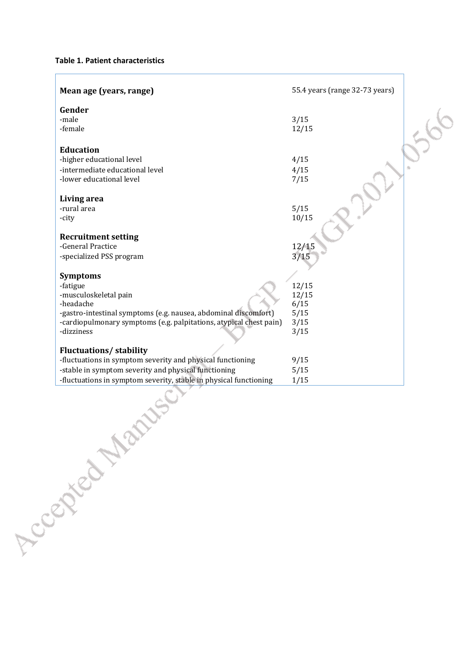**Table 1. Patient characteristics**

| Mean age (years, range)                                                                                                                                                                                                  | 55.4 years (range 32-73 years)                 |  |
|--------------------------------------------------------------------------------------------------------------------------------------------------------------------------------------------------------------------------|------------------------------------------------|--|
| Gender<br>-male<br>-female                                                                                                                                                                                               | 3/15<br>12/15                                  |  |
| <b>Education</b><br>-higher educational level<br>-intermediate educational level<br>-lower educational level                                                                                                             | 4/15<br>4/15<br>7/15                           |  |
| Living area<br>-rural area<br>-city                                                                                                                                                                                      | 5/15<br>10/15                                  |  |
| <b>Recruitment setting</b><br>-General Practice<br>-specialized PSS program                                                                                                                                              | 12/15<br>3/15                                  |  |
| <b>Symptoms</b><br>-fatigue<br>-musculoskeletal pain<br>-headache<br>-gastro-intestinal symptoms (e.g. nausea, abdominal discomfort)<br>-cardiopulmonary symptoms (e.g. palpitations, atypical chest pain)<br>-dizziness | 12/15<br>12/15<br>6/15<br>5/15<br>3/15<br>3/15 |  |
| <b>Fluctuations/stability</b><br>-fluctuations in symptom severity and physical functioning<br>-stable in symptom severity and physical functioning<br>-fluctuations in symptom severity, stable in physical functioning | 9/15<br>5/15<br>1/15                           |  |